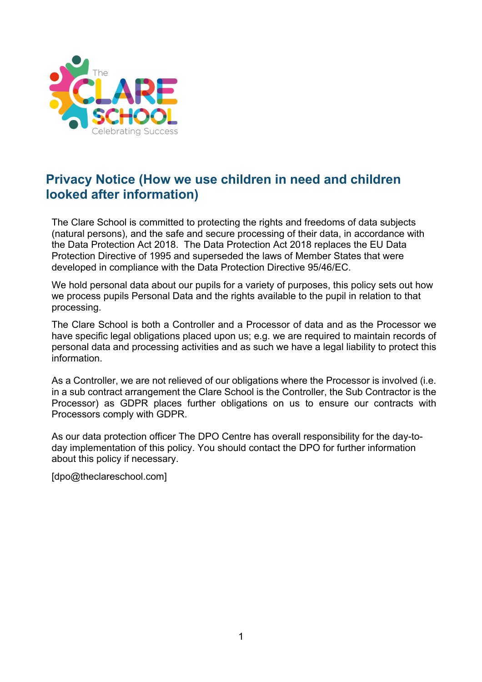

### **Privacy Notice (How we use children in need and children looked after information)**

The Clare School is committed to protecting the rights and freedoms of data subjects (natural persons), and the safe and secure processing of their data, in accordance with the Data Protection Act 2018. The Data Protection Act 2018 replaces the EU Data Protection Directive of 1995 and superseded the laws of Member States that were developed in compliance with the Data Protection Directive 95/46/EC.

We hold personal data about our pupils for a variety of purposes, this policy sets out how we process pupils Personal Data and the rights available to the pupil in relation to that processing.

The Clare School is both a Controller and a Processor of data and as the Processor we have specific legal obligations placed upon us; e.g. we are required to maintain records of personal data and processing activities and as such we have a legal liability to protect this information.

As a Controller, we are not relieved of our obligations where the Processor is involved (i.e. in a sub contract arrangement the Clare School is the Controller, the Sub Contractor is the Processor) as GDPR places further obligations on us to ensure our contracts with Processors comply with GDPR.

As our data protection officer The DPO Centre has overall responsibility for the day-today implementation of this policy. You should contact the DPO for further information about this policy if necessary.

[dpo@theclareschool.com]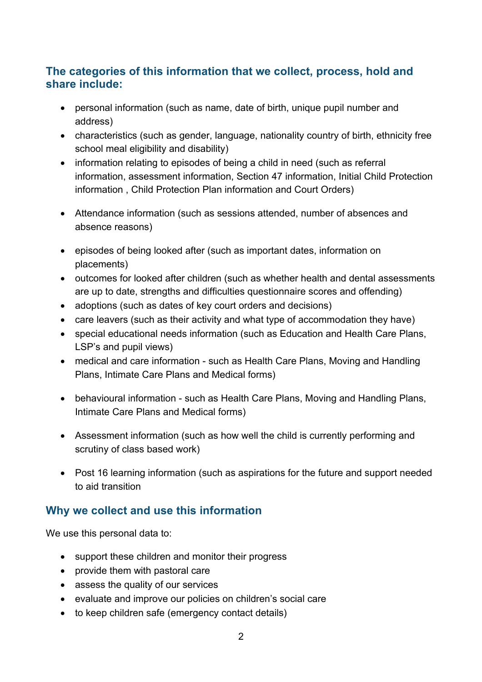### **The categories of this information that we collect, process, hold and share include:**

- personal information (such as name, date of birth, unique pupil number and address)
- characteristics (such as gender, language, nationality country of birth, ethnicity free school meal eligibility and disability)
- information relating to episodes of being a child in need (such as referral information, assessment information, Section 47 information, Initial Child Protection information , Child Protection Plan information and Court Orders)
- Attendance information (such as sessions attended, number of absences and absence reasons)
- episodes of being looked after (such as important dates, information on placements)
- outcomes for looked after children (such as whether health and dental assessments are up to date, strengths and difficulties questionnaire scores and offending)
- adoptions (such as dates of key court orders and decisions)
- care leavers (such as their activity and what type of accommodation they have)
- special educational needs information (such as Education and Health Care Plans, LSP's and pupil views)
- medical and care information such as Health Care Plans, Moving and Handling Plans, Intimate Care Plans and Medical forms)
- behavioural information such as Health Care Plans, Moving and Handling Plans, Intimate Care Plans and Medical forms)
- Assessment information (such as how well the child is currently performing and scrutiny of class based work)
- Post 16 learning information (such as aspirations for the future and support needed to aid transition

#### **Why we collect and use this information**

We use this personal data to:

- support these children and monitor their progress
- provide them with pastoral care
- assess the quality of our services
- evaluate and improve our policies on children's social care
- to keep children safe (emergency contact details)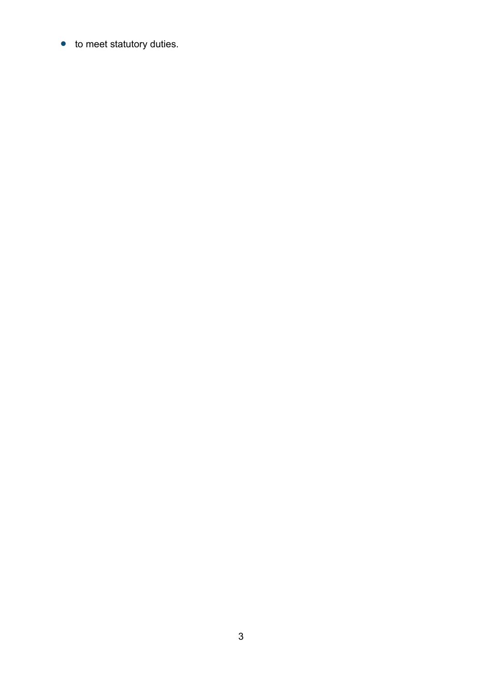• to meet statutory duties.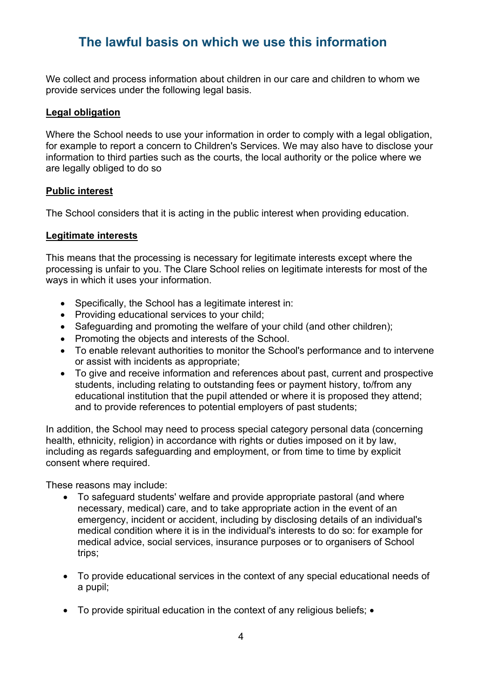## **The lawful basis on which we use this information**

We collect and process information about children in our care and children to whom we provide services under the following legal basis.

#### **Legal obligation**

Where the School needs to use your information in order to comply with a legal obligation, for example to report a concern to Children's Services. We may also have to disclose your information to third parties such as the courts, the local authority or the police where we are legally obliged to do so

#### **Public interest**

The School considers that it is acting in the public interest when providing education.

#### **Legitimate interests**

This means that the processing is necessary for legitimate interests except where the processing is unfair to you. The Clare School relies on legitimate interests for most of the ways in which it uses your information.

- Specifically, the School has a legitimate interest in:
- Providing educational services to your child;
- Safeguarding and promoting the welfare of your child (and other children);
- Promoting the objects and interests of the School.
- To enable relevant authorities to monitor the School's performance and to intervene or assist with incidents as appropriate;
- To give and receive information and references about past, current and prospective students, including relating to outstanding fees or payment history, to/from any educational institution that the pupil attended or where it is proposed they attend; and to provide references to potential employers of past students;

In addition, the School may need to process special category personal data (concerning health, ethnicity, religion) in accordance with rights or duties imposed on it by law, including as regards safeguarding and employment, or from time to time by explicit consent where required.

These reasons may include:

- To safeguard students' welfare and provide appropriate pastoral (and where necessary, medical) care, and to take appropriate action in the event of an emergency, incident or accident, including by disclosing details of an individual's medical condition where it is in the individual's interests to do so: for example for medical advice, social services, insurance purposes or to organisers of School trips;
- To provide educational services in the context of any special educational needs of a pupil;
- To provide spiritual education in the context of any religious beliefs; •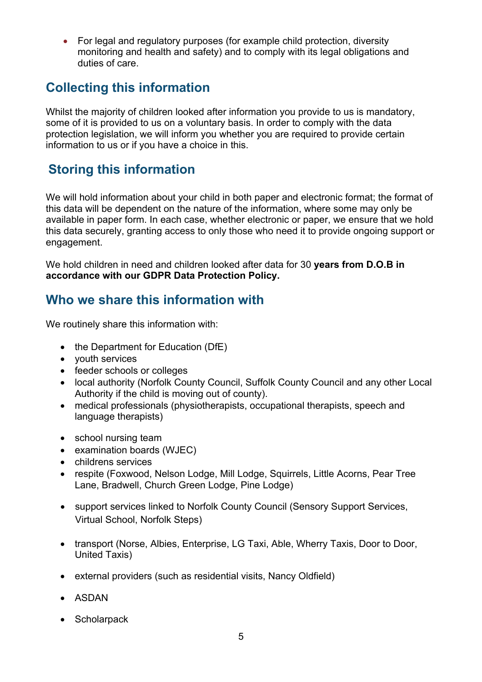• For legal and regulatory purposes (for example child protection, diversity monitoring and health and safety) and to comply with its legal obligations and duties of care.

## **Collecting this information**

Whilst the majority of children looked after information you provide to us is mandatory. some of it is provided to us on a voluntary basis. In order to comply with the data protection legislation, we will inform you whether you are required to provide certain information to us or if you have a choice in this.

## **Storing this information**

We will hold information about your child in both paper and electronic format; the format of this data will be dependent on the nature of the information, where some may only be available in paper form. In each case, whether electronic or paper, we ensure that we hold this data securely, granting access to only those who need it to provide ongoing support or engagement.

We hold children in need and children looked after data for 30 **years from D.O.B in accordance with our GDPR Data Protection Policy.**

## **Who we share this information with**

We routinely share this information with:

- the Department for Education (DfE)
- youth services
- feeder schools or colleges
- local authority (Norfolk County Council, Suffolk County Council and any other Local Authority if the child is moving out of county).
- medical professionals (physiotherapists, occupational therapists, speech and language therapists)
- school nursing team
- examination boards (WJEC)
- childrens services
- respite (Foxwood, Nelson Lodge, Mill Lodge, Squirrels, Little Acorns, Pear Tree Lane, Bradwell, Church Green Lodge, Pine Lodge)
- support services linked to Norfolk County Council (Sensory Support Services, Virtual School, Norfolk Steps)
- transport (Norse, Albies, Enterprise, LG Taxi, Able, Wherry Taxis, Door to Door, United Taxis)
- external providers (such as residential visits, Nancy Oldfield)
- ASDAN
- Scholarpack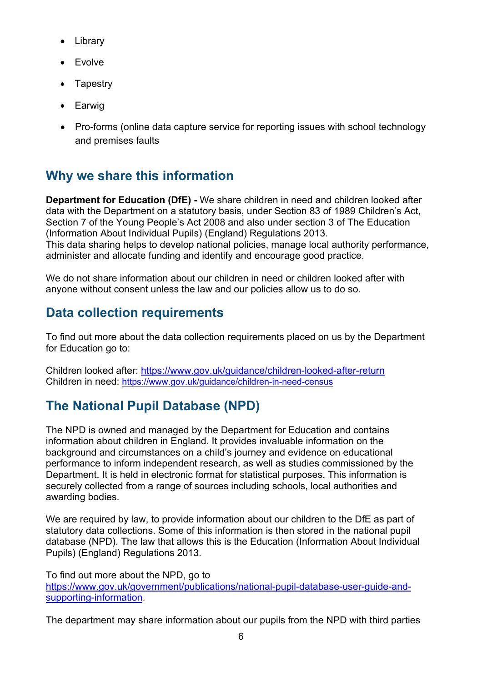- Library
- Evolve
- Tapestry
- Earwig
- Pro-forms (online data capture service for reporting issues with school technology and premises faults

## **Why we share this information**

**Department for Education (DfE) -** We share children in need and children looked after data with the Department on a statutory basis, under Section 83 of 1989 Children's Act, Section 7 of the Young People's Act 2008 and also under section 3 of The Education (Information About Individual Pupils) (England) Regulations 2013.

This data sharing helps to develop national policies, manage local authority performance, administer and allocate funding and identify and encourage good practice.

We do not share information about our children in need or children looked after with anyone without consent unless the law and our policies allow us to do so.

# **Data collection requirements**

To find out more about the data collection requirements placed on us by the Department for Education go to:

Children looked after: https://www.gov.uk/guidance/children-looked-after-return Children in need: https://www.gov.uk/guidance/children-in-need-census

# **The National Pupil Database (NPD)**

The NPD is owned and managed by the Department for Education and contains information about children in England. It provides invaluable information on the background and circumstances on a child's journey and evidence on educational performance to inform independent research, as well as studies commissioned by the Department. It is held in electronic format for statistical purposes. This information is securely collected from a range of sources including schools, local authorities and awarding bodies.

We are required by law, to provide information about our children to the DfE as part of statutory data collections. Some of this information is then stored in the national pupil database (NPD). The law that allows this is the Education (Information About Individual Pupils) (England) Regulations 2013.

To find out more about the NPD, go to https://www.gov.uk/government/publications/national-pupil-database-user-guide-andsupporting-information.

The department may share information about our pupils from the NPD with third parties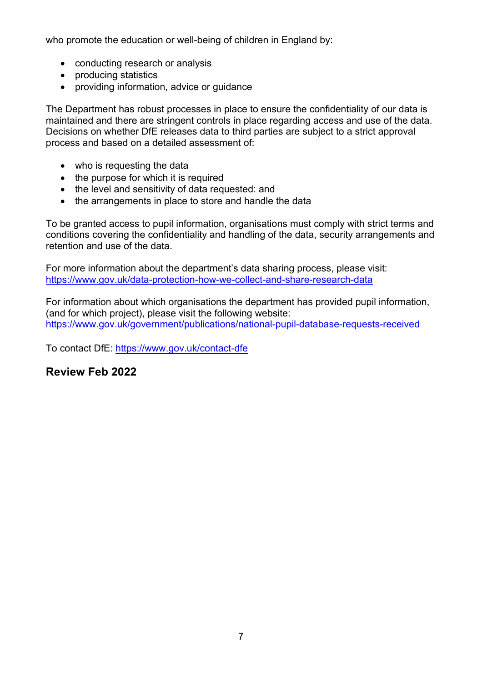who promote the education or well-being of children in England by:

- conducting research or analysis
- producing statistics
- providing information, advice or guidance

The Department has robust processes in place to ensure the confidentiality of our data is maintained and there are stringent controls in place regarding access and use of the data. Decisions on whether DfE releases data to third parties are subject to a strict approval process and based on a detailed assessment of:

- who is requesting the data
- the purpose for which it is required
- the level and sensitivity of data requested: and
- the arrangements in place to store and handle the data

To be granted access to pupil information, organisations must comply with strict terms and conditions covering the confidentiality and handling of the data, security arrangements and retention and use of the data.

For more information about the department's data sharing process, please visit: https://www.gov.uk/data-protection-how-we-collect-and-share-research-data

For information about which organisations the department has provided pupil information, (and for which project), please visit the following website: https://www.gov.uk/government/publications/national-pupil-database-requests-received

To contact DfE: https://www.gov.uk/contact-dfe

#### **Review Feb 2022**